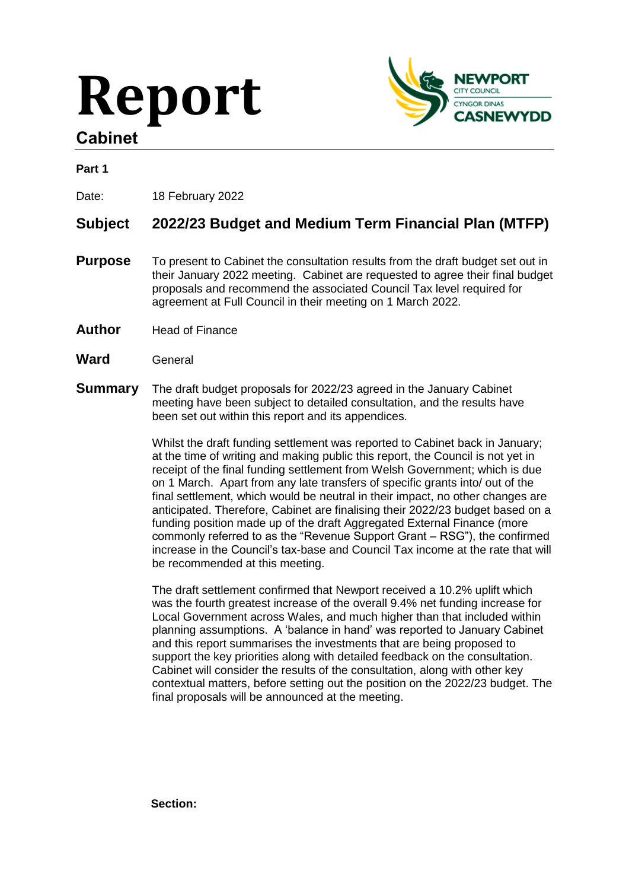# **Report Cabinet**



# **Part 1**

Date: 18 February 2022

# **Subject 2022/23 Budget and Medium Term Financial Plan (MTFP)**

- **Purpose** To present to Cabinet the consultation results from the draft budget set out in their January 2022 meeting. Cabinet are requested to agree their final budget proposals and recommend the associated Council Tax level required for agreement at Full Council in their meeting on 1 March 2022.
- **Author** Head of Finance
- **Ward** General
- **Summary** The draft budget proposals for 2022/23 agreed in the January Cabinet meeting have been subject to detailed consultation, and the results have been set out within this report and its appendices.

Whilst the draft funding settlement was reported to Cabinet back in January; at the time of writing and making public this report, the Council is not yet in receipt of the final funding settlement from Welsh Government; which is due on 1 March. Apart from any late transfers of specific grants into/ out of the final settlement, which would be neutral in their impact, no other changes are anticipated. Therefore, Cabinet are finalising their 2022/23 budget based on a funding position made up of the draft Aggregated External Finance (more commonly referred to as the "Revenue Support Grant – RSG"), the confirmed increase in the Council's tax-base and Council Tax income at the rate that will be recommended at this meeting.

The draft settlement confirmed that Newport received a 10.2% uplift which was the fourth greatest increase of the overall 9.4% net funding increase for Local Government across Wales, and much higher than that included within planning assumptions. A 'balance in hand' was reported to January Cabinet and this report summarises the investments that are being proposed to support the key priorities along with detailed feedback on the consultation. Cabinet will consider the results of the consultation, along with other key contextual matters, before setting out the position on the 2022/23 budget. The final proposals will be announced at the meeting.

**Section:**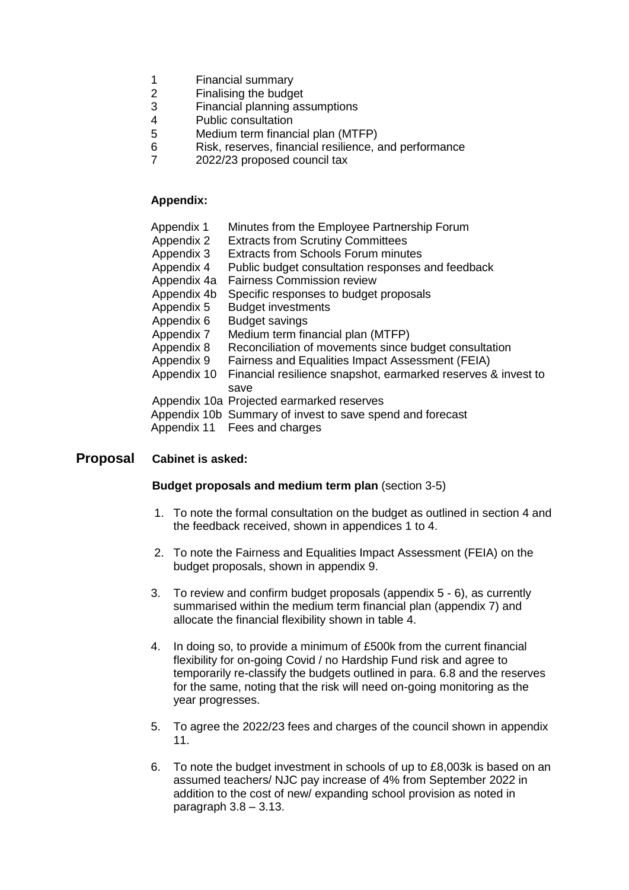- 1 Financial summary
- 2 Finalising the budget
- 3 Financial planning assumptions
- 4 Public consultation
- 5 Medium term financial plan (MTFP)
- 6 Risk, reserves, financial resilience, and performance
- 7 2022/23 proposed council tax

#### **Appendix:**

| Minutes from the Employee Partnership Forum<br>Appendix 1 |  |
|-----------------------------------------------------------|--|
|-----------------------------------------------------------|--|

- Appendix 2 Extracts from Scrutiny Committees
- Appendix 3 Extracts from Schools Forum minutes
- Appendix 4 Public budget consultation responses and feedback
- Appendix 4a Fairness Commission review
- Appendix 4b Specific responses to budget proposals
- Appendix 5 Budget investments
- Appendix 6 Budget savings
- Appendix 7 Medium term financial plan (MTFP)
- Appendix 8 Reconciliation of movements since budget consultation
- Appendix 9 Fairness and Equalities Impact Assessment (FEIA)
- Appendix 10 Financial resilience snapshot, earmarked reserves & invest to save
- Appendix 10a Projected earmarked reserves
- Appendix 10b Summary of invest to save spend and forecast
- Appendix 11 Fees and charges

### **Proposal Cabinet is asked:**

#### **Budget proposals and medium term plan** (section 3-5)

- 1. To note the formal consultation on the budget as outlined in section 4 and the feedback received, shown in appendices 1 to 4.
- 2. To note the Fairness and Equalities Impact Assessment (FEIA) on the budget proposals, shown in appendix 9.
- 3. To review and confirm budget proposals (appendix 5 6), as currently summarised within the medium term financial plan (appendix 7) and allocate the financial flexibility shown in table 4.
- 4. In doing so, to provide a minimum of £500k from the current financial flexibility for on-going Covid / no Hardship Fund risk and agree to temporarily re-classify the budgets outlined in para. 6.8 and the reserves for the same, noting that the risk will need on-going monitoring as the year progresses.
- 5. To agree the 2022/23 fees and charges of the council shown in appendix 11.
- 6. To note the budget investment in schools of up to £8,003k is based on an assumed teachers/ NJC pay increase of 4% from September 2022 in addition to the cost of new/ expanding school provision as noted in paragraph  $3.8 - 3.13$ .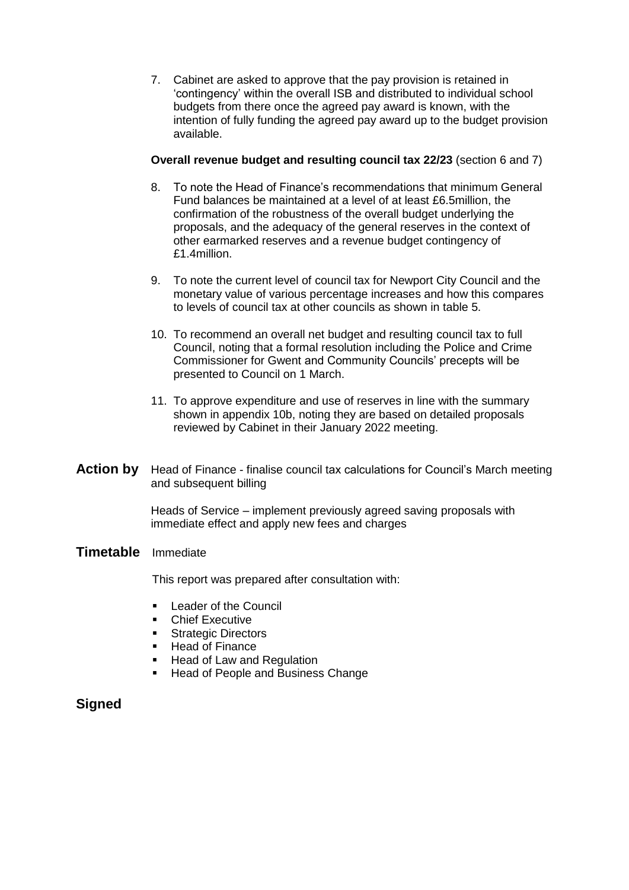7. Cabinet are asked to approve that the pay provision is retained in 'contingency' within the overall ISB and distributed to individual school budgets from there once the agreed pay award is known, with the intention of fully funding the agreed pay award up to the budget provision available.

#### **Overall revenue budget and resulting council tax 22/23** (section 6 and 7)

- 8. To note the Head of Finance's recommendations that minimum General Fund balances be maintained at a level of at least £6.5million, the confirmation of the robustness of the overall budget underlying the proposals, and the adequacy of the general reserves in the context of other earmarked reserves and a revenue budget contingency of £1.4million.
- 9. To note the current level of council tax for Newport City Council and the monetary value of various percentage increases and how this compares to levels of council tax at other councils as shown in table 5.
- 10. To recommend an overall net budget and resulting council tax to full Council, noting that a formal resolution including the Police and Crime Commissioner for Gwent and Community Councils' precepts will be presented to Council on 1 March.
- 11. To approve expenditure and use of reserves in line with the summary shown in appendix 10b, noting they are based on detailed proposals reviewed by Cabinet in their January 2022 meeting.
- **Action by** Head of Finance finalise council tax calculations for Council's March meeting and subsequent billing

Heads of Service – implement previously agreed saving proposals with immediate effect and apply new fees and charges

#### **Timetable** Immediate

This report was prepared after consultation with:

- **Leader of the Council**
- **EXECUTER**
- **Strategic Directors**
- **Head of Finance**
- Head of Law and Regulation
- Head of People and Business Change

# **Signed**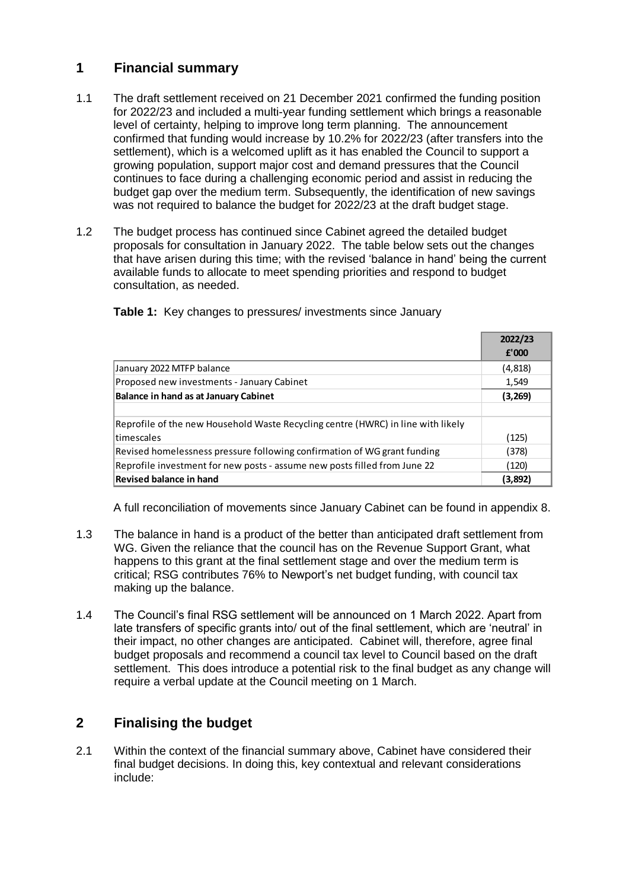# **1 Financial summary**

- 1.1 The draft settlement received on 21 December 2021 confirmed the funding position for 2022/23 and included a multi-year funding settlement which brings a reasonable level of certainty, helping to improve long term planning. The announcement confirmed that funding would increase by 10.2% for 2022/23 (after transfers into the settlement), which is a welcomed uplift as it has enabled the Council to support a growing population, support major cost and demand pressures that the Council continues to face during a challenging economic period and assist in reducing the budget gap over the medium term. Subsequently, the identification of new savings was not required to balance the budget for 2022/23 at the draft budget stage.
- 1.2 The budget process has continued since Cabinet agreed the detailed budget proposals for consultation in January 2022. The table below sets out the changes that have arisen during this time; with the revised 'balance in hand' being the current available funds to allocate to meet spending priorities and respond to budget consultation, as needed.

|                                                                                  | 2022/23 |
|----------------------------------------------------------------------------------|---------|
|                                                                                  | f'000   |
| January 2022 MTFP balance                                                        | (4,818) |
| Proposed new investments - January Cabinet                                       | 1,549   |
| <b>Balance in hand as at January Cabinet</b>                                     | (3,269) |
|                                                                                  |         |
| Reprofile of the new Household Waste Recycling centre (HWRC) in line with likely |         |
| timescales                                                                       | (125)   |
| Revised homelessness pressure following confirmation of WG grant funding         | (378)   |
| Reprofile investment for new posts - assume new posts filled from June 22        | (120)   |
| <b>Revised balance in hand</b>                                                   | (3,892) |

**Table 1:** Key changes to pressures/ investments since January

A full reconciliation of movements since January Cabinet can be found in appendix 8.

- 1.3 The balance in hand is a product of the better than anticipated draft settlement from WG. Given the reliance that the council has on the Revenue Support Grant, what happens to this grant at the final settlement stage and over the medium term is critical; RSG contributes 76% to Newport's net budget funding, with council tax making up the balance.
- 1.4 The Council's final RSG settlement will be announced on 1 March 2022. Apart from late transfers of specific grants into/ out of the final settlement, which are 'neutral' in their impact, no other changes are anticipated. Cabinet will, therefore, agree final budget proposals and recommend a council tax level to Council based on the draft settlement. This does introduce a potential risk to the final budget as any change will require a verbal update at the Council meeting on 1 March.

# **2 Finalising the budget**

2.1 Within the context of the financial summary above, Cabinet have considered their final budget decisions. In doing this, key contextual and relevant considerations include: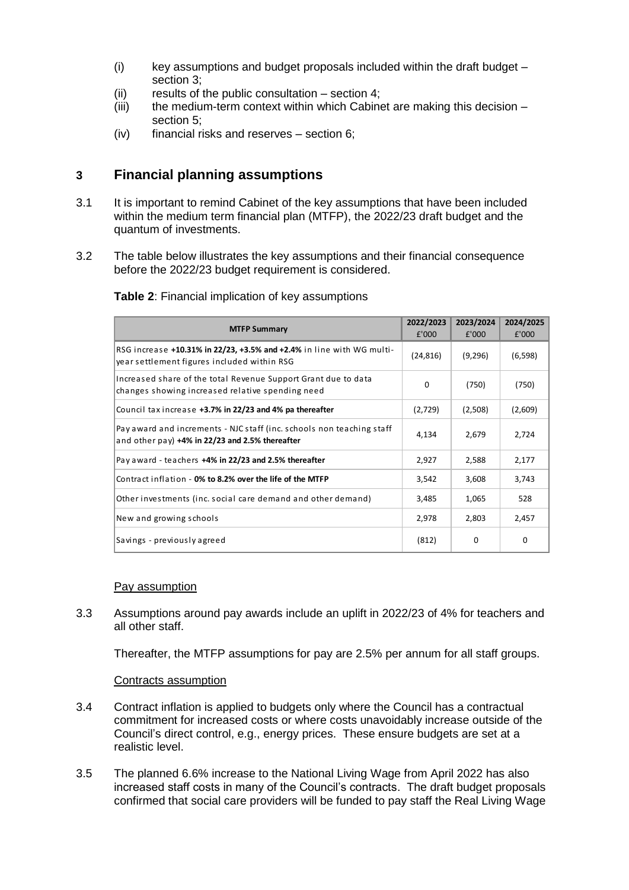- $(i)$  key assumptions and budget proposals included within the draft budget section 3;
- (ii) results of the public consultation section 4;
- $(iii)$  the medium-term context within which Cabinet are making this decision section 5;
- (iv) financial risks and reserves section 6;

# **3 Financial planning assumptions**

- 3.1 It is important to remind Cabinet of the key assumptions that have been included within the medium term financial plan (MTFP), the 2022/23 draft budget and the quantum of investments.
- 3.2 The table below illustrates the key assumptions and their financial consequence before the 2022/23 budget requirement is considered.

| <b>MTFP Summary</b>                                                                                                         | 2022/2023<br>£'000 | 2023/2024<br>£'000 | 2024/2025<br>£'000 |
|-----------------------------------------------------------------------------------------------------------------------------|--------------------|--------------------|--------------------|
| RSG increase +10.31% in 22/23, +3.5% and +2.4% in line with WG multi-<br>year settlement figures included within RSG        | (24, 816)          | (9,296)            | (6, 598)           |
| Increased share of the total Revenue Support Grant due to data<br>changes showing increased relative spending need          | $\Omega$           | (750)              | (750)              |
| Council tax increase +3.7% in 22/23 and 4% pa thereafter<br>(2,729)                                                         |                    | (2,508)            | (2,609)            |
| Pay award and increments - NJC staff (inc. schools non teaching staff<br>and other pay) $+4\%$ in 22/23 and 2.5% thereafter | 4,134              | 2.679              | 2,724              |
| Pay award - teachers +4% in 22/23 and 2.5% thereafter<br>2,927                                                              |                    | 2,588              | 2,177              |
| Contract inflation - 0% to 8.2% over the life of the MTFP                                                                   |                    | 3,608              | 3,743              |
| Other investments (inc. social care demand and other demand)                                                                | 3,485              | 1,065              | 528                |
| New and growing schools                                                                                                     | 2,978              | 2,803              | 2,457              |
| Savings - previously agreed                                                                                                 | (812)              | 0                  | 0                  |

**Table 2**: Financial implication of key assumptions

#### Pay assumption

3.3 Assumptions around pay awards include an uplift in 2022/23 of 4% for teachers and all other staff.

Thereafter, the MTFP assumptions for pay are 2.5% per annum for all staff groups.

#### Contracts assumption

- 3.4 Contract inflation is applied to budgets only where the Council has a contractual commitment for increased costs or where costs unavoidably increase outside of the Council's direct control, e.g., energy prices. These ensure budgets are set at a realistic level.
- 3.5 The planned 6.6% increase to the National Living Wage from April 2022 has also increased staff costs in many of the Council's contracts. The draft budget proposals confirmed that social care providers will be funded to pay staff the Real Living Wage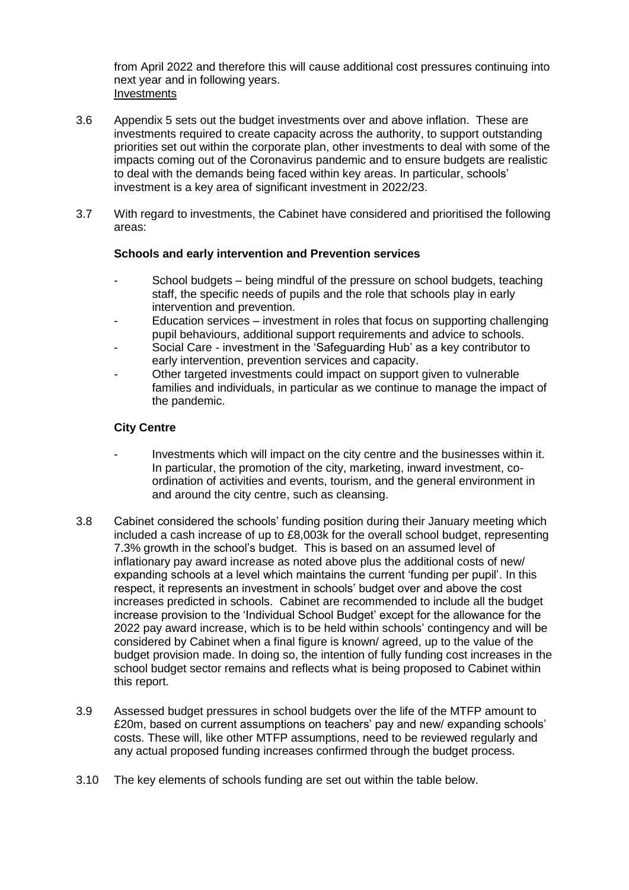from April 2022 and therefore this will cause additional cost pressures continuing into next year and in following years. Investments

- 3.6 Appendix 5 sets out the budget investments over and above inflation. These are investments required to create capacity across the authority, to support outstanding priorities set out within the corporate plan, other investments to deal with some of the impacts coming out of the Coronavirus pandemic and to ensure budgets are realistic to deal with the demands being faced within key areas. In particular, schools' investment is a key area of significant investment in 2022/23.
- 3.7 With regard to investments, the Cabinet have considered and prioritised the following areas:

#### **Schools and early intervention and Prevention services**

- School budgets being mindful of the pressure on school budgets, teaching staff, the specific needs of pupils and the role that schools play in early intervention and prevention.
- Education services investment in roles that focus on supporting challenging pupil behaviours, additional support requirements and advice to schools.
- Social Care investment in the 'Safeguarding Hub' as a key contributor to early intervention, prevention services and capacity.
- Other targeted investments could impact on support given to vulnerable families and individuals, in particular as we continue to manage the impact of the pandemic.

#### **City Centre**

- Investments which will impact on the city centre and the businesses within it. In particular, the promotion of the city, marketing, inward investment, coordination of activities and events, tourism, and the general environment in and around the city centre, such as cleansing.
- 3.8 Cabinet considered the schools' funding position during their January meeting which included a cash increase of up to £8,003k for the overall school budget, representing 7.3% growth in the school's budget. This is based on an assumed level of inflationary pay award increase as noted above plus the additional costs of new/ expanding schools at a level which maintains the current 'funding per pupil'. In this respect, it represents an investment in schools' budget over and above the cost increases predicted in schools. Cabinet are recommended to include all the budget increase provision to the 'Individual School Budget' except for the allowance for the 2022 pay award increase, which is to be held within schools' contingency and will be considered by Cabinet when a final figure is known/ agreed, up to the value of the budget provision made. In doing so, the intention of fully funding cost increases in the school budget sector remains and reflects what is being proposed to Cabinet within this report.
- 3.9 Assessed budget pressures in school budgets over the life of the MTFP amount to £20m, based on current assumptions on teachers' pay and new/ expanding schools' costs. These will, like other MTFP assumptions, need to be reviewed regularly and any actual proposed funding increases confirmed through the budget process.
- 3.10 The key elements of schools funding are set out within the table below.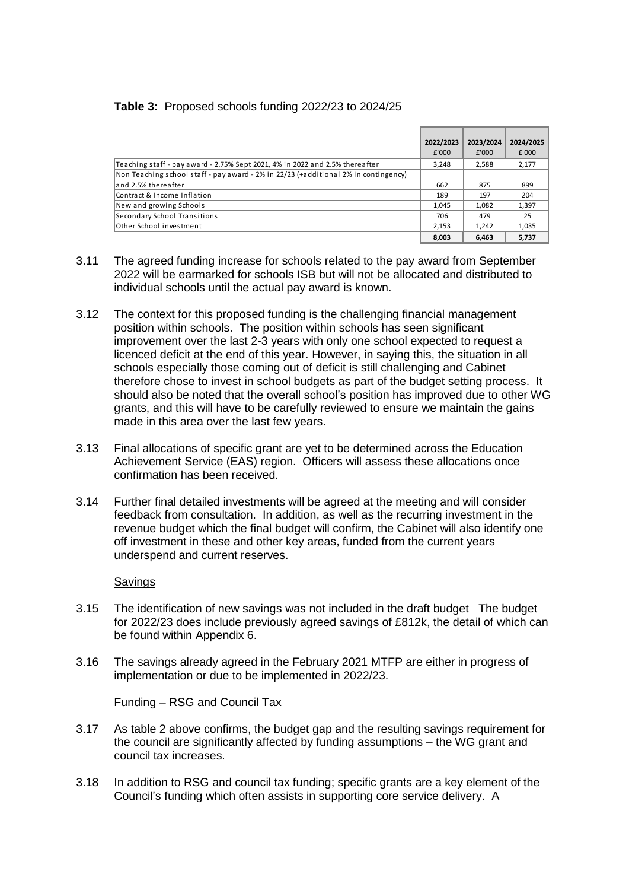#### **Table 3:** Proposed schools funding 2022/23 to 2024/25

|                                                                                     | 2022/2023 | 2023/2024 | 2024/2025 |
|-------------------------------------------------------------------------------------|-----------|-----------|-----------|
|                                                                                     | £'000     | f'000     | £'000     |
| Teaching staff - pay award - 2.75% Sept 2021, 4% in 2022 and 2.5% thereafter        | 3.248     | 2,588     | 2,177     |
| Non Teaching school staff - pay award - 2% in 22/23 (+additional 2% in contingency) |           |           |           |
| and 2.5% thereafter                                                                 | 662       | 875       | 899       |
| Contract & Income Inflation                                                         |           | 197       | 204       |
| New and growing Schools                                                             | 1.045     | 1.082     | 1.397     |
| Secondary School Transitions                                                        | 706       | 479       | 25        |
| Other School investment                                                             | 2.153     | 1.242     | 1,035     |
|                                                                                     | 8,003     | 6.463     | 5.737     |

- 3.11 The agreed funding increase for schools related to the pay award from September 2022 will be earmarked for schools ISB but will not be allocated and distributed to individual schools until the actual pay award is known.
- 3.12 The context for this proposed funding is the challenging financial management position within schools. The position within schools has seen significant improvement over the last 2-3 years with only one school expected to request a licenced deficit at the end of this year. However, in saying this, the situation in all schools especially those coming out of deficit is still challenging and Cabinet therefore chose to invest in school budgets as part of the budget setting process. It should also be noted that the overall school's position has improved due to other WG grants, and this will have to be carefully reviewed to ensure we maintain the gains made in this area over the last few years.
- 3.13 Final allocations of specific grant are yet to be determined across the Education Achievement Service (EAS) region. Officers will assess these allocations once confirmation has been received.
- 3.14 Further final detailed investments will be agreed at the meeting and will consider feedback from consultation. In addition, as well as the recurring investment in the revenue budget which the final budget will confirm, the Cabinet will also identify one off investment in these and other key areas, funded from the current years underspend and current reserves.

#### **Savings**

- 3.15 The identification of new savings was not included in the draft budget The budget for 2022/23 does include previously agreed savings of £812k, the detail of which can be found within Appendix 6.
- 3.16 The savings already agreed in the February 2021 MTFP are either in progress of implementation or due to be implemented in 2022/23.

#### Funding – RSG and Council Tax

- 3.17 As table 2 above confirms, the budget gap and the resulting savings requirement for the council are significantly affected by funding assumptions – the WG grant and council tax increases.
- 3.18 In addition to RSG and council tax funding; specific grants are a key element of the Council's funding which often assists in supporting core service delivery. A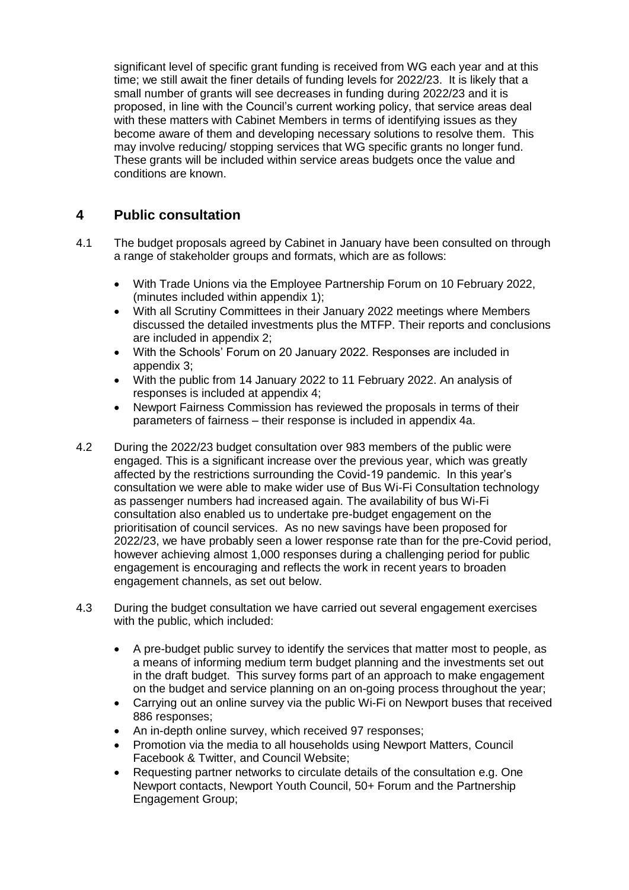significant level of specific grant funding is received from WG each year and at this time; we still await the finer details of funding levels for 2022/23. It is likely that a small number of grants will see decreases in funding during 2022/23 and it is proposed, in line with the Council's current working policy, that service areas deal with these matters with Cabinet Members in terms of identifying issues as they become aware of them and developing necessary solutions to resolve them. This may involve reducing/ stopping services that WG specific grants no longer fund. These grants will be included within service areas budgets once the value and conditions are known.

# **4 Public consultation**

- 4.1 The budget proposals agreed by Cabinet in January have been consulted on through a range of stakeholder groups and formats, which are as follows:
	- With Trade Unions via the Employee Partnership Forum on 10 February 2022, (minutes included within appendix 1);
	- With all Scrutiny Committees in their January 2022 meetings where Members discussed the detailed investments plus the MTFP. Their reports and conclusions are included in appendix 2;
	- With the Schools' Forum on 20 January 2022. Responses are included in appendix 3;
	- With the public from 14 January 2022 to 11 February 2022. An analysis of responses is included at appendix 4;
	- Newport Fairness Commission has reviewed the proposals in terms of their parameters of fairness – their response is included in appendix 4a.
- 4.2 During the 2022/23 budget consultation over 983 members of the public were engaged. This is a significant increase over the previous year, which was greatly affected by the restrictions surrounding the Covid-19 pandemic. In this year's consultation we were able to make wider use of Bus Wi-Fi Consultation technology as passenger numbers had increased again. The availability of bus Wi-Fi consultation also enabled us to undertake pre-budget engagement on the prioritisation of council services. As no new savings have been proposed for 2022/23, we have probably seen a lower response rate than for the pre-Covid period, however achieving almost 1,000 responses during a challenging period for public engagement is encouraging and reflects the work in recent years to broaden engagement channels, as set out below.
- 4.3 During the budget consultation we have carried out several engagement exercises with the public, which included:
	- A pre-budget public survey to identify the services that matter most to people, as a means of informing medium term budget planning and the investments set out in the draft budget. This survey forms part of an approach to make engagement on the budget and service planning on an on-going process throughout the year;
	- Carrying out an online survey via the public Wi-Fi on Newport buses that received 886 responses;
	- An in-depth online survey, which received 97 responses;
	- Promotion via the media to all households using Newport Matters, Council Facebook & Twitter, and Council Website;
	- Requesting partner networks to circulate details of the consultation e.g. One Newport contacts, Newport Youth Council, 50+ Forum and the Partnership Engagement Group;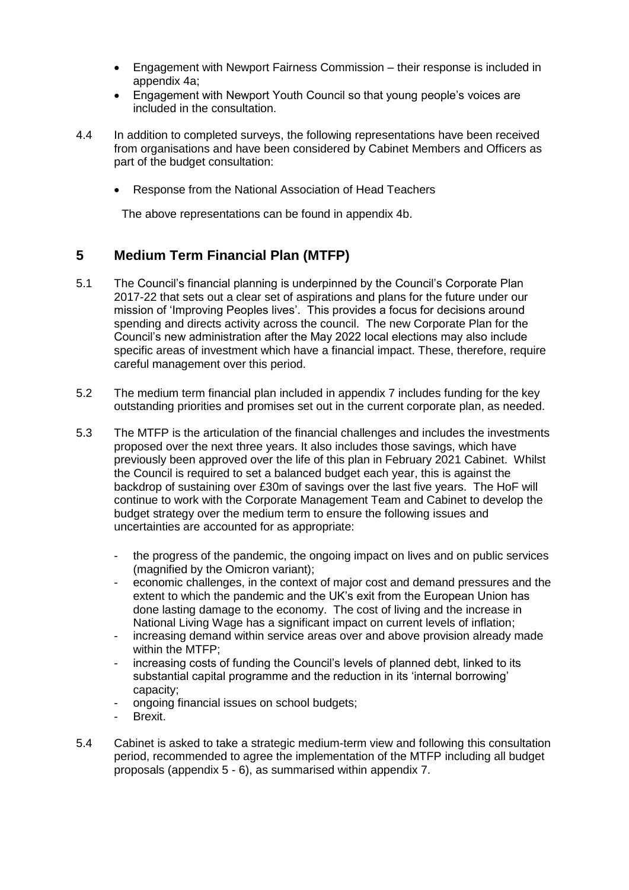- Engagement with Newport Fairness Commission their response is included in appendix 4a;
- Engagement with Newport Youth Council so that young people's voices are included in the consultation.
- 4.4 In addition to completed surveys, the following representations have been received from organisations and have been considered by Cabinet Members and Officers as part of the budget consultation:
	- Response from the National Association of Head Teachers

The above representations can be found in appendix 4b.

# **5 Medium Term Financial Plan (MTFP)**

- 5.1 The Council's financial planning is underpinned by the Council's Corporate Plan 2017-22 that sets out a clear set of aspirations and plans for the future under our mission of 'Improving Peoples lives'. This provides a focus for decisions around spending and directs activity across the council. The new Corporate Plan for the Council's new administration after the May 2022 local elections may also include specific areas of investment which have a financial impact. These, therefore, require careful management over this period.
- 5.2 The medium term financial plan included in appendix 7 includes funding for the key outstanding priorities and promises set out in the current corporate plan, as needed.
- 5.3 The MTFP is the articulation of the financial challenges and includes the investments proposed over the next three years. It also includes those savings, which have previously been approved over the life of this plan in February 2021 Cabinet. Whilst the Council is required to set a balanced budget each year, this is against the backdrop of sustaining over £30m of savings over the last five years. The HoF will continue to work with the Corporate Management Team and Cabinet to develop the budget strategy over the medium term to ensure the following issues and uncertainties are accounted for as appropriate:
	- the progress of the pandemic, the ongoing impact on lives and on public services (magnified by the Omicron variant);
	- economic challenges, in the context of major cost and demand pressures and the extent to which the pandemic and the UK's exit from the European Union has done lasting damage to the economy. The cost of living and the increase in National Living Wage has a significant impact on current levels of inflation;
	- increasing demand within service areas over and above provision already made within the MTFP;
	- increasing costs of funding the Council's levels of planned debt, linked to its substantial capital programme and the reduction in its 'internal borrowing' capacity;
	- ongoing financial issues on school budgets;
	- Brexit.
- 5.4 Cabinet is asked to take a strategic medium-term view and following this consultation period, recommended to agree the implementation of the MTFP including all budget proposals (appendix 5 - 6), as summarised within appendix 7.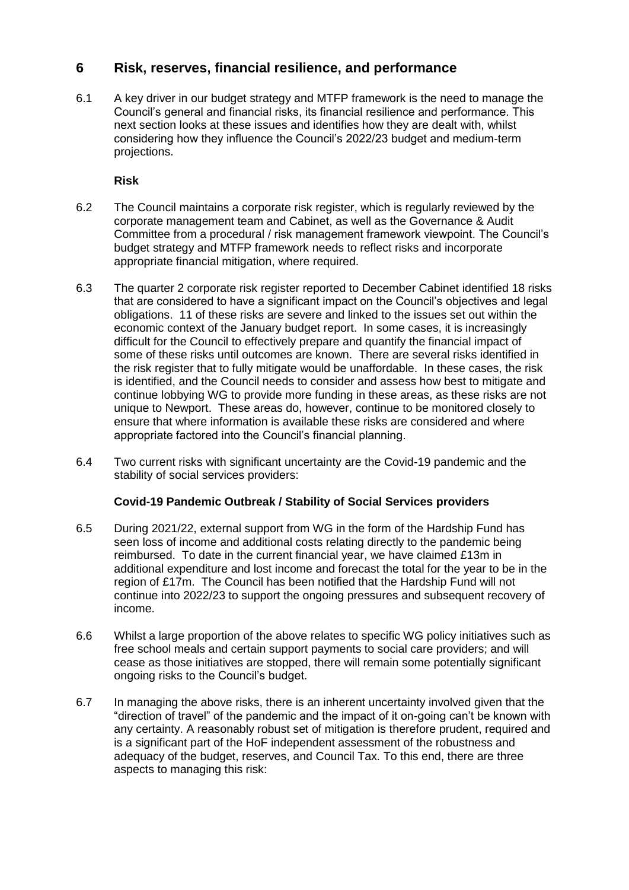# **6 Risk, reserves, financial resilience, and performance**

6.1 A key driver in our budget strategy and MTFP framework is the need to manage the Council's general and financial risks, its financial resilience and performance. This next section looks at these issues and identifies how they are dealt with, whilst considering how they influence the Council's 2022/23 budget and medium-term projections.

**Risk**

- 6.2 The Council maintains a corporate risk register, which is regularly reviewed by the corporate management team and Cabinet, as well as the Governance & Audit Committee from a procedural / risk management framework viewpoint. The Council's budget strategy and MTFP framework needs to reflect risks and incorporate appropriate financial mitigation, where required.
- 6.3 The quarter 2 corporate risk register reported to December Cabinet identified 18 risks that are considered to have a significant impact on the Council's objectives and legal obligations. 11 of these risks are severe and linked to the issues set out within the economic context of the January budget report. In some cases, it is increasingly difficult for the Council to effectively prepare and quantify the financial impact of some of these risks until outcomes are known. There are several risks identified in the risk register that to fully mitigate would be unaffordable. In these cases, the risk is identified, and the Council needs to consider and assess how best to mitigate and continue lobbying WG to provide more funding in these areas, as these risks are not unique to Newport. These areas do, however, continue to be monitored closely to ensure that where information is available these risks are considered and where appropriate factored into the Council's financial planning.
- 6.4 Two current risks with significant uncertainty are the Covid-19 pandemic and the stability of social services providers:

### **Covid-19 Pandemic Outbreak / Stability of Social Services providers**

- 6.5 During 2021/22, external support from WG in the form of the Hardship Fund has seen loss of income and additional costs relating directly to the pandemic being reimbursed. To date in the current financial year, we have claimed £13m in additional expenditure and lost income and forecast the total for the year to be in the region of £17m. The Council has been notified that the Hardship Fund will not continue into 2022/23 to support the ongoing pressures and subsequent recovery of income.
- 6.6 Whilst a large proportion of the above relates to specific WG policy initiatives such as free school meals and certain support payments to social care providers; and will cease as those initiatives are stopped, there will remain some potentially significant ongoing risks to the Council's budget.
- 6.7 In managing the above risks, there is an inherent uncertainty involved given that the "direction of travel" of the pandemic and the impact of it on-going can't be known with any certainty. A reasonably robust set of mitigation is therefore prudent, required and is a significant part of the HoF independent assessment of the robustness and adequacy of the budget, reserves, and Council Tax. To this end, there are three aspects to managing this risk: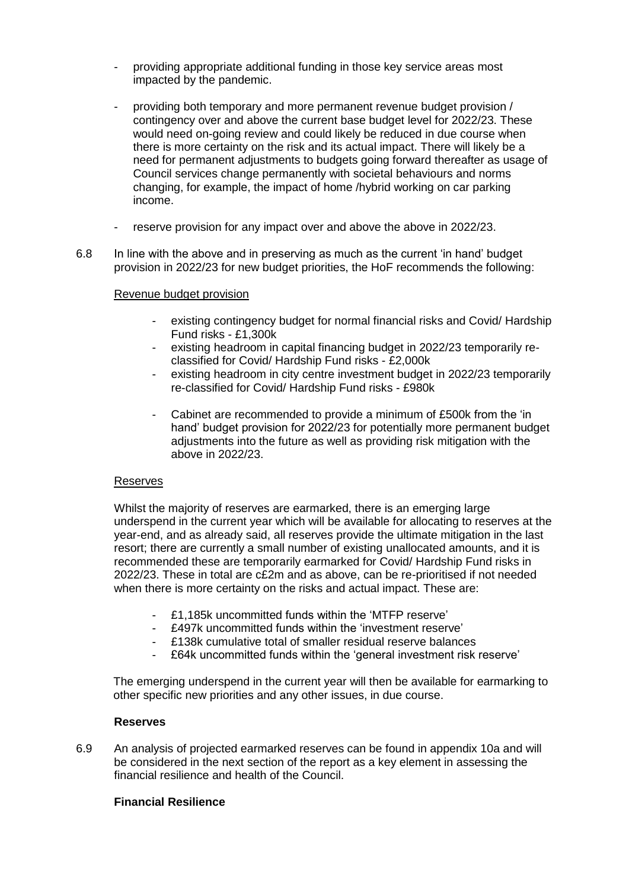- providing appropriate additional funding in those key service areas most impacted by the pandemic.
- providing both temporary and more permanent revenue budget provision / contingency over and above the current base budget level for 2022/23. These would need on-going review and could likely be reduced in due course when there is more certainty on the risk and its actual impact. There will likely be a need for permanent adjustments to budgets going forward thereafter as usage of Council services change permanently with societal behaviours and norms changing, for example, the impact of home /hybrid working on car parking income.
- reserve provision for any impact over and above the above in 2022/23.
- 6.8 In line with the above and in preserving as much as the current 'in hand' budget provision in 2022/23 for new budget priorities, the HoF recommends the following:

#### Revenue budget provision

- existing contingency budget for normal financial risks and Covid/ Hardship Fund risks - £1,300k
- existing headroom in capital financing budget in 2022/23 temporarily reclassified for Covid/ Hardship Fund risks - £2,000k
- existing headroom in city centre investment budget in 2022/23 temporarily re-classified for Covid/ Hardship Fund risks - £980k
- Cabinet are recommended to provide a minimum of £500k from the 'in hand' budget provision for 2022/23 for potentially more permanent budget adjustments into the future as well as providing risk mitigation with the above in 2022/23.

#### Reserves

Whilst the majority of reserves are earmarked, there is an emerging large underspend in the current year which will be available for allocating to reserves at the year-end, and as already said, all reserves provide the ultimate mitigation in the last resort; there are currently a small number of existing unallocated amounts, and it is recommended these are temporarily earmarked for Covid/ Hardship Fund risks in 2022/23. These in total are c£2m and as above, can be re-prioritised if not needed when there is more certainty on the risks and actual impact. These are:

- £1,185k uncommitted funds within the 'MTFP reserve'
- £497k uncommitted funds within the 'investment reserve'
- £138k cumulative total of smaller residual reserve balances
- £64k uncommitted funds within the 'general investment risk reserve'

The emerging underspend in the current year will then be available for earmarking to other specific new priorities and any other issues, in due course.

#### **Reserves**

6.9 An analysis of projected earmarked reserves can be found in appendix 10a and will be considered in the next section of the report as a key element in assessing the financial resilience and health of the Council.

#### **Financial Resilience**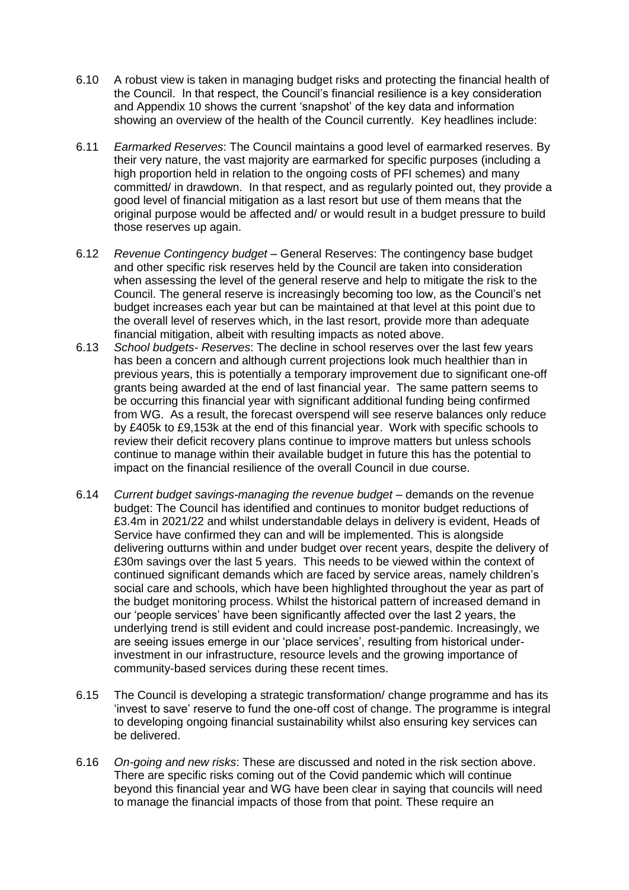- 6.10 A robust view is taken in managing budget risks and protecting the financial health of the Council. In that respect, the Council's financial resilience is a key consideration and Appendix 10 shows the current 'snapshot' of the key data and information showing an overview of the health of the Council currently. Key headlines include:
- 6.11 *Earmarked Reserves*: The Council maintains a good level of earmarked reserves. By their very nature, the vast majority are earmarked for specific purposes (including a high proportion held in relation to the ongoing costs of PFI schemes) and many committed/ in drawdown. In that respect, and as regularly pointed out, they provide a good level of financial mitigation as a last resort but use of them means that the original purpose would be affected and/ or would result in a budget pressure to build those reserves up again.
- 6.12 *Revenue Contingency budget* General Reserves: The contingency base budget and other specific risk reserves held by the Council are taken into consideration when assessing the level of the general reserve and help to mitigate the risk to the Council. The general reserve is increasingly becoming too low, as the Council's net budget increases each year but can be maintained at that level at this point due to the overall level of reserves which, in the last resort, provide more than adequate financial mitigation, albeit with resulting impacts as noted above.
- 6.13 *School budgets- Reserves*: The decline in school reserves over the last few years has been a concern and although current projections look much healthier than in previous years, this is potentially a temporary improvement due to significant one-off grants being awarded at the end of last financial year. The same pattern seems to be occurring this financial year with significant additional funding being confirmed from WG. As a result, the forecast overspend will see reserve balances only reduce by £405k to £9,153k at the end of this financial year. Work with specific schools to review their deficit recovery plans continue to improve matters but unless schools continue to manage within their available budget in future this has the potential to impact on the financial resilience of the overall Council in due course.
- 6.14 *Current budget savings-managing the revenue budget* demands on the revenue budget: The Council has identified and continues to monitor budget reductions of £3.4m in 2021/22 and whilst understandable delays in delivery is evident, Heads of Service have confirmed they can and will be implemented. This is alongside delivering outturns within and under budget over recent years, despite the delivery of £30m savings over the last 5 years. This needs to be viewed within the context of continued significant demands which are faced by service areas, namely children's social care and schools, which have been highlighted throughout the year as part of the budget monitoring process. Whilst the historical pattern of increased demand in our 'people services' have been significantly affected over the last 2 years, the underlying trend is still evident and could increase post-pandemic. Increasingly, we are seeing issues emerge in our 'place services', resulting from historical underinvestment in our infrastructure, resource levels and the growing importance of community-based services during these recent times.
- 6.15 The Council is developing a strategic transformation/ change programme and has its 'invest to save' reserve to fund the one-off cost of change. The programme is integral to developing ongoing financial sustainability whilst also ensuring key services can be delivered.
- 6.16 *On-going and new risks*: These are discussed and noted in the risk section above. There are specific risks coming out of the Covid pandemic which will continue beyond this financial year and WG have been clear in saying that councils will need to manage the financial impacts of those from that point. These require an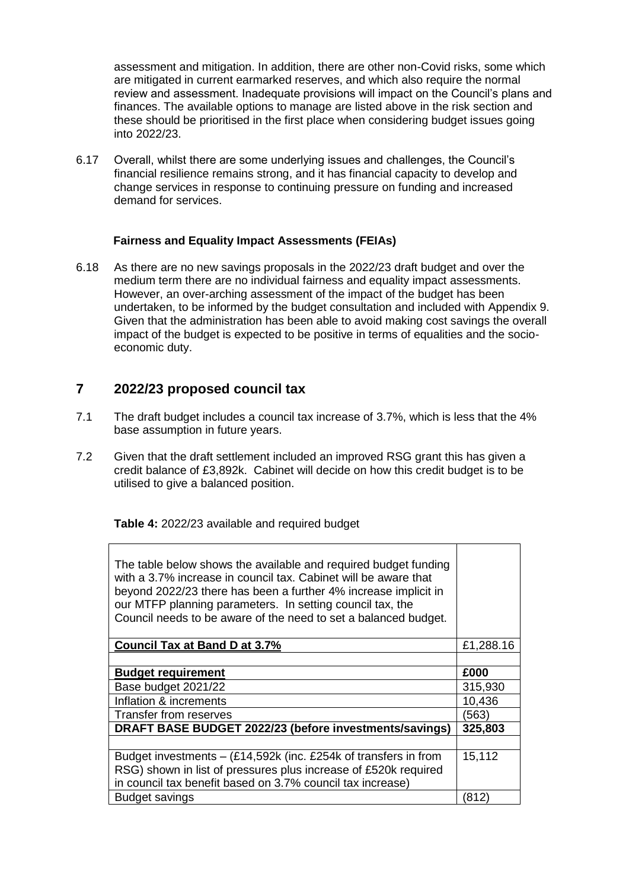assessment and mitigation. In addition, there are other non-Covid risks, some which are mitigated in current earmarked reserves, and which also require the normal review and assessment. Inadequate provisions will impact on the Council's plans and finances. The available options to manage are listed above in the risk section and these should be prioritised in the first place when considering budget issues going into 2022/23.

6.17 Overall, whilst there are some underlying issues and challenges, the Council's financial resilience remains strong, and it has financial capacity to develop and change services in response to continuing pressure on funding and increased demand for services.

#### **Fairness and Equality Impact Assessments (FEIAs)**

6.18 As there are no new savings proposals in the 2022/23 draft budget and over the medium term there are no individual fairness and equality impact assessments. However, an over-arching assessment of the impact of the budget has been undertaken, to be informed by the budget consultation and included with Appendix 9. Given that the administration has been able to avoid making cost savings the overall impact of the budget is expected to be positive in terms of equalities and the socioeconomic duty.

# **7 2022/23 proposed council tax**

- 7.1 The draft budget includes a council tax increase of 3.7%, which is less that the 4% base assumption in future years.
- 7.2 Given that the draft settlement included an improved RSG grant this has given a credit balance of £3,892k. Cabinet will decide on how this credit budget is to be utilised to give a balanced position.

**Table 4:** 2022/23 available and required budget

| The table below shows the available and required budget funding<br>with a 3.7% increase in council tax. Cabinet will be aware that<br>beyond 2022/23 there has been a further 4% increase implicit in<br>our MTFP planning parameters. In setting council tax, the<br>Council needs to be aware of the need to set a balanced budget. |           |
|---------------------------------------------------------------------------------------------------------------------------------------------------------------------------------------------------------------------------------------------------------------------------------------------------------------------------------------|-----------|
| <b>Council Tax at Band D at 3.7%</b>                                                                                                                                                                                                                                                                                                  | £1,288.16 |
|                                                                                                                                                                                                                                                                                                                                       |           |
| <b>Budget requirement</b>                                                                                                                                                                                                                                                                                                             | £000      |
| Base budget 2021/22                                                                                                                                                                                                                                                                                                                   | 315,930   |
| Inflation & increments                                                                                                                                                                                                                                                                                                                | 10,436    |
| Transfer from reserves                                                                                                                                                                                                                                                                                                                | (563)     |
| DRAFT BASE BUDGET 2022/23 (before investments/savings)                                                                                                                                                                                                                                                                                | 325,803   |
|                                                                                                                                                                                                                                                                                                                                       |           |
| Budget investments $-$ (£14,592k (inc. £254k of transfers in from                                                                                                                                                                                                                                                                     | 15,112    |
| RSG) shown in list of pressures plus increase of £520k required                                                                                                                                                                                                                                                                       |           |
| in council tax benefit based on 3.7% council tax increase)                                                                                                                                                                                                                                                                            |           |
| <b>Budget savings</b>                                                                                                                                                                                                                                                                                                                 | (812)     |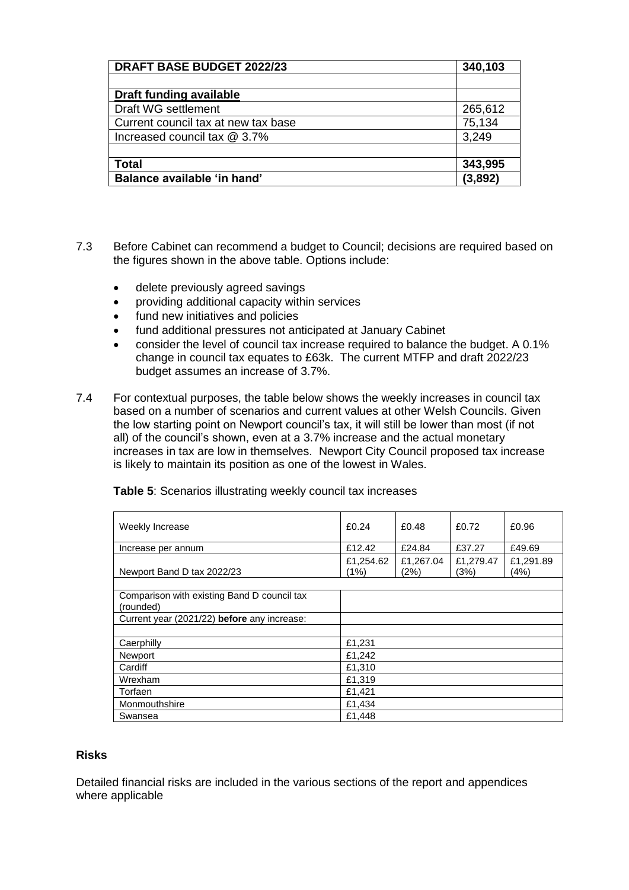| <b>DRAFT BASE BUDGET 2022/23</b>    | 340,103 |
|-------------------------------------|---------|
|                                     |         |
| <b>Draft funding available</b>      |         |
| Draft WG settlement                 | 265,612 |
| Current council tax at new tax base | 75,134  |
| Increased council tax @ 3.7%        | 3,249   |
|                                     |         |
| <b>Total</b>                        | 343,995 |
| Balance available 'in hand'         | (3,892) |

- 7.3 Before Cabinet can recommend a budget to Council; decisions are required based on the figures shown in the above table. Options include:
	- delete previously agreed savings
	- providing additional capacity within services
	- fund new initiatives and policies
	- fund additional pressures not anticipated at January Cabinet
	- consider the level of council tax increase required to balance the budget. A 0.1% change in council tax equates to £63k. The current MTFP and draft 2022/23 budget assumes an increase of 3.7%.
- 7.4 For contextual purposes, the table below shows the weekly increases in council tax based on a number of scenarios and current values at other Welsh Councils. Given the low starting point on Newport council's tax, it will still be lower than most (if not all) of the council's shown, even at a 3.7% increase and the actual monetary increases in tax are low in themselves. Newport City Council proposed tax increase is likely to maintain its position as one of the lowest in Wales.

| Weekly Increase                                          | £0.24             | £0.48             | £0.72             | £0.96             |
|----------------------------------------------------------|-------------------|-------------------|-------------------|-------------------|
| Increase per annum                                       | £12.42            | £24.84            | £37.27            | £49.69            |
| Newport Band D tax 2022/23                               | £1,254.62<br>(1%) | £1,267.04<br>(2%) | £1,279.47<br>(3%) | £1,291.89<br>(4%) |
|                                                          |                   |                   |                   |                   |
| Comparison with existing Band D council tax<br>(rounded) |                   |                   |                   |                   |
| Current year (2021/22) before any increase:              |                   |                   |                   |                   |
|                                                          |                   |                   |                   |                   |
| Caerphilly                                               | £1,231            |                   |                   |                   |
| Newport                                                  | £1,242            |                   |                   |                   |
| Cardiff                                                  | £1,310            |                   |                   |                   |
| Wrexham                                                  | £1,319            |                   |                   |                   |
| Torfaen                                                  | £1,421            |                   |                   |                   |
| Monmouthshire                                            | £1,434            |                   |                   |                   |
| Swansea                                                  | £1.448            |                   |                   |                   |

**Table 5**: Scenarios illustrating weekly council tax increases

### **Risks**

Detailed financial risks are included in the various sections of the report and appendices where applicable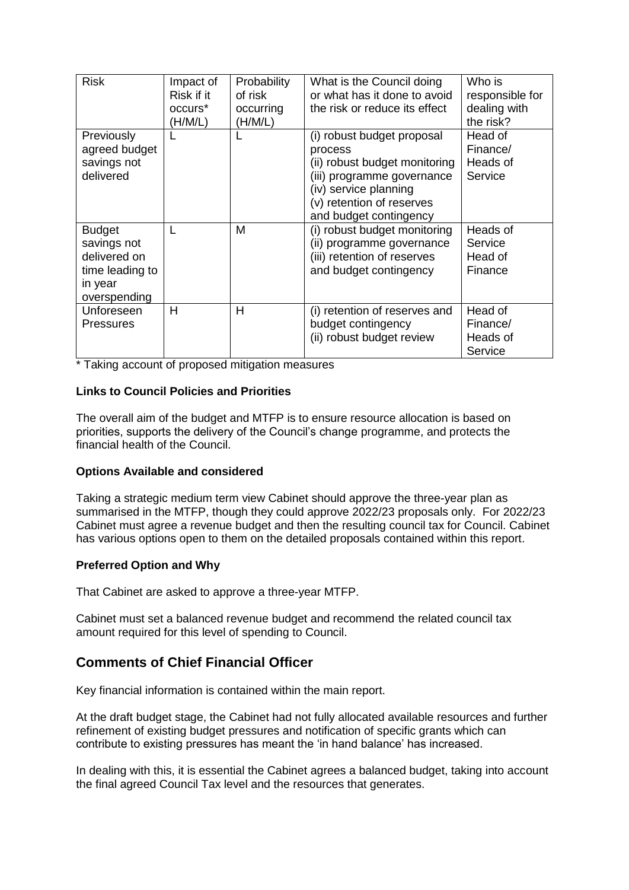| <b>Risk</b>                                                                                | Impact of<br>Risk if it<br>occurs <sup>*</sup><br>(H/M/L) | Probability<br>of risk<br>occurring<br>(H/M/L) | What is the Council doing<br>or what has it done to avoid<br>the risk or reduce its effect                                                                                           | Who is<br>responsible for<br>dealing with<br>the risk? |
|--------------------------------------------------------------------------------------------|-----------------------------------------------------------|------------------------------------------------|--------------------------------------------------------------------------------------------------------------------------------------------------------------------------------------|--------------------------------------------------------|
| Previously<br>agreed budget<br>savings not<br>delivered                                    |                                                           |                                                | (i) robust budget proposal<br>process<br>(ii) robust budget monitoring<br>(iii) programme governance<br>(iv) service planning<br>(v) retention of reserves<br>and budget contingency | Head of<br>Finance/<br>Heads of<br>Service             |
| <b>Budget</b><br>savings not<br>delivered on<br>time leading to<br>in year<br>overspending |                                                           | м                                              | (i) robust budget monitoring<br>(ii) programme governance<br>(iii) retention of reserves<br>and budget contingency                                                                   | Heads of<br>Service<br>Head of<br>Finance              |
| Unforeseen<br>Pressures                                                                    | н                                                         | Н                                              | (i) retention of reserves and<br>budget contingency<br>(ii) robust budget review                                                                                                     | Head of<br>Finance/<br>Heads of<br>Service             |

\* Taking account of proposed mitigation measures

#### **Links to Council Policies and Priorities**

The overall aim of the budget and MTFP is to ensure resource allocation is based on priorities, supports the delivery of the Council's change programme, and protects the financial health of the Council.

#### **Options Available and considered**

Taking a strategic medium term view Cabinet should approve the three-year plan as summarised in the MTFP, though they could approve 2022/23 proposals only. For 2022/23 Cabinet must agree a revenue budget and then the resulting council tax for Council. Cabinet has various options open to them on the detailed proposals contained within this report.

#### **Preferred Option and Why**

That Cabinet are asked to approve a three-year MTFP.

Cabinet must set a balanced revenue budget and recommend the related council tax amount required for this level of spending to Council.

# **Comments of Chief Financial Officer**

Key financial information is contained within the main report.

At the draft budget stage, the Cabinet had not fully allocated available resources and further refinement of existing budget pressures and notification of specific grants which can contribute to existing pressures has meant the 'in hand balance' has increased.

In dealing with this, it is essential the Cabinet agrees a balanced budget, taking into account the final agreed Council Tax level and the resources that generates.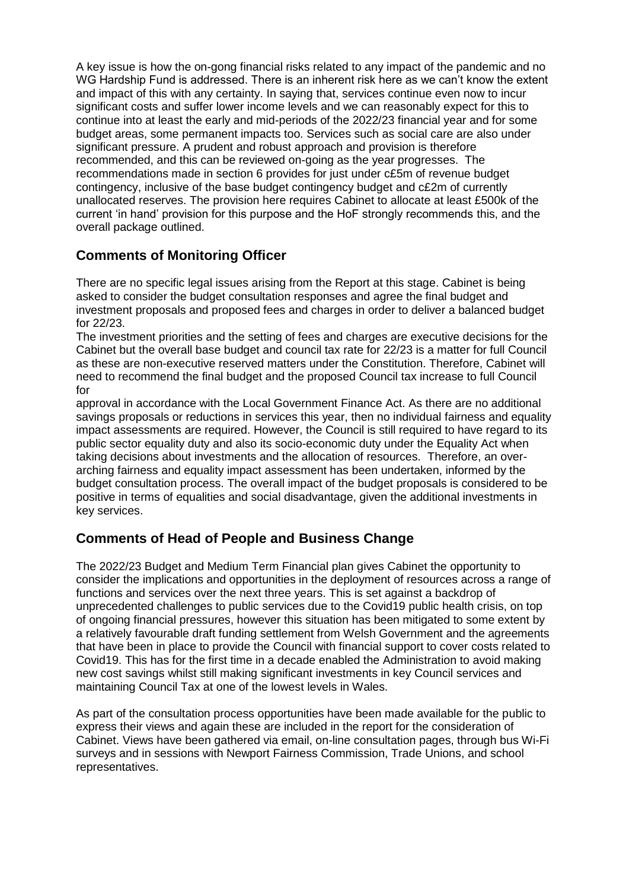A key issue is how the on-gong financial risks related to any impact of the pandemic and no WG Hardship Fund is addressed. There is an inherent risk here as we can't know the extent and impact of this with any certainty. In saying that, services continue even now to incur significant costs and suffer lower income levels and we can reasonably expect for this to continue into at least the early and mid-periods of the 2022/23 financial year and for some budget areas, some permanent impacts too. Services such as social care are also under significant pressure. A prudent and robust approach and provision is therefore recommended, and this can be reviewed on-going as the year progresses. The recommendations made in section 6 provides for just under c£5m of revenue budget contingency, inclusive of the base budget contingency budget and c£2m of currently unallocated reserves. The provision here requires Cabinet to allocate at least £500k of the current 'in hand' provision for this purpose and the HoF strongly recommends this, and the overall package outlined.

# **Comments of Monitoring Officer**

There are no specific legal issues arising from the Report at this stage. Cabinet is being asked to consider the budget consultation responses and agree the final budget and investment proposals and proposed fees and charges in order to deliver a balanced budget for 22/23.

The investment priorities and the setting of fees and charges are executive decisions for the Cabinet but the overall base budget and council tax rate for 22/23 is a matter for full Council as these are non-executive reserved matters under the Constitution. Therefore, Cabinet will need to recommend the final budget and the proposed Council tax increase to full Council for

approval in accordance with the Local Government Finance Act. As there are no additional savings proposals or reductions in services this year, then no individual fairness and equality impact assessments are required. However, the Council is still required to have regard to its public sector equality duty and also its socio-economic duty under the Equality Act when taking decisions about investments and the allocation of resources. Therefore, an overarching fairness and equality impact assessment has been undertaken, informed by the budget consultation process. The overall impact of the budget proposals is considered to be positive in terms of equalities and social disadvantage, given the additional investments in key services.

# **Comments of Head of People and Business Change**

The 2022/23 Budget and Medium Term Financial plan gives Cabinet the opportunity to consider the implications and opportunities in the deployment of resources across a range of functions and services over the next three years. This is set against a backdrop of unprecedented challenges to public services due to the Covid19 public health crisis, on top of ongoing financial pressures, however this situation has been mitigated to some extent by a relatively favourable draft funding settlement from Welsh Government and the agreements that have been in place to provide the Council with financial support to cover costs related to Covid19. This has for the first time in a decade enabled the Administration to avoid making new cost savings whilst still making significant investments in key Council services and maintaining Council Tax at one of the lowest levels in Wales.

As part of the consultation process opportunities have been made available for the public to express their views and again these are included in the report for the consideration of Cabinet. Views have been gathered via email, on-line consultation pages, through bus Wi-Fi surveys and in sessions with Newport Fairness Commission, Trade Unions, and school representatives.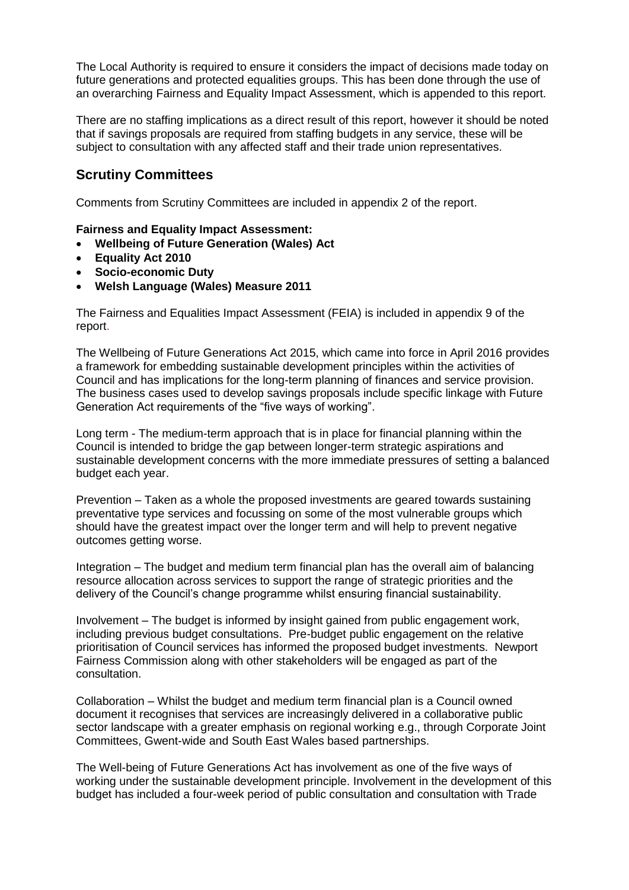The Local Authority is required to ensure it considers the impact of decisions made today on future generations and protected equalities groups. This has been done through the use of an overarching Fairness and Equality Impact Assessment, which is appended to this report.

There are no staffing implications as a direct result of this report, however it should be noted that if savings proposals are required from staffing budgets in any service, these will be subject to consultation with any affected staff and their trade union representatives.

# **Scrutiny Committees**

Comments from Scrutiny Committees are included in appendix 2 of the report.

#### **Fairness and Equality Impact Assessment:**

- **Wellbeing of Future Generation (Wales) Act**
- **Equality Act 2010**
- **Socio-economic Duty**
- **Welsh Language (Wales) Measure 2011**

The Fairness and Equalities Impact Assessment (FEIA) is included in appendix 9 of the report.

The Wellbeing of Future Generations Act 2015, which came into force in April 2016 provides a framework for embedding sustainable development principles within the activities of Council and has implications for the long-term planning of finances and service provision. The business cases used to develop savings proposals include specific linkage with Future Generation Act requirements of the "five ways of working".

Long term - The medium-term approach that is in place for financial planning within the Council is intended to bridge the gap between longer-term strategic aspirations and sustainable development concerns with the more immediate pressures of setting a balanced budget each year.

Prevention – Taken as a whole the proposed investments are geared towards sustaining preventative type services and focussing on some of the most vulnerable groups which should have the greatest impact over the longer term and will help to prevent negative outcomes getting worse.

Integration – The budget and medium term financial plan has the overall aim of balancing resource allocation across services to support the range of strategic priorities and the delivery of the Council's change programme whilst ensuring financial sustainability.

Involvement – The budget is informed by insight gained from public engagement work, including previous budget consultations. Pre-budget public engagement on the relative prioritisation of Council services has informed the proposed budget investments. Newport Fairness Commission along with other stakeholders will be engaged as part of the consultation.

Collaboration – Whilst the budget and medium term financial plan is a Council owned document it recognises that services are increasingly delivered in a collaborative public sector landscape with a greater emphasis on regional working e.g., through Corporate Joint Committees, Gwent-wide and South East Wales based partnerships.

The Well-being of Future Generations Act has involvement as one of the five ways of working under the sustainable development principle. Involvement in the development of this budget has included a four-week period of public consultation and consultation with Trade